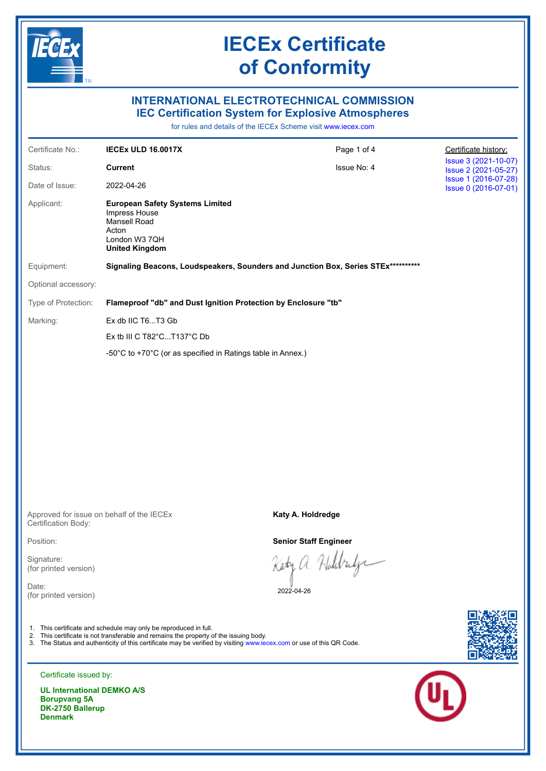

### **INTERNATIONAL ELECTROTECHNICAL COMMISSION IEC Certification System for Explosive Atmospheres**

for rules and details of the IECEx Scheme visit [www.iecex.com](https://www.iecex.com)

| Certificate No.:    | <b>IECEX ULD 16.0017X</b>                                                                                                  | Page 1 of 4 | Certificate history:                         |  |
|---------------------|----------------------------------------------------------------------------------------------------------------------------|-------------|----------------------------------------------|--|
| Status:             | <b>Current</b>                                                                                                             | Issue No: 4 | Issue 3 (2021-10-07)<br>Issue 2 (2021-05-27) |  |
| Date of Issue:      | 2022-04-26                                                                                                                 |             | Issue 1 (2016-07-28)<br>Issue 0 (2016-07-01) |  |
| Applicant:          | <b>European Safety Systems Limited</b><br>Impress House<br>Mansell Road<br>Acton<br>London W3 7QH<br><b>United Kingdom</b> |             |                                              |  |
| Equipment:          | Signaling Beacons, Loudspeakers, Sounders and Junction Box, Series STEx**********                                          |             |                                              |  |
| Optional accessory: |                                                                                                                            |             |                                              |  |
| Type of Protection: | Flameproof "db" and Dust Ignition Protection by Enclosure "tb"                                                             |             |                                              |  |
| Marking:            | Ex db IIC T6T3 Gb                                                                                                          |             |                                              |  |
|                     | Ex tb III C T82°CT137°C Db                                                                                                 |             |                                              |  |
|                     | -50 $^{\circ}$ C to +70 $^{\circ}$ C (or as specified in Ratings table in Annex.)                                          |             |                                              |  |
|                     |                                                                                                                            |             |                                              |  |

Approved for issue on behalf of the IECEx Certification Body:

Position:

Signature: (for printed version)

Date: (for printed version)

1. This certificate and schedule may only be reproduced in full.

- 2. This certificate is not transferable and remains the property of the issuing body.
- 3. The Status and authenticity of this certificate may be verified by visiting [www.iecex.com](https://www.iecex.com) or use of this QR Code.

**Katy A. Holdredge**

**Senior Staff Engineer**

Kety a. Holdrife

2022-04-26





Certificate issued by:

**UL International DEMKO A/S Borupvang 5A DK-2750 Ballerup Denmark**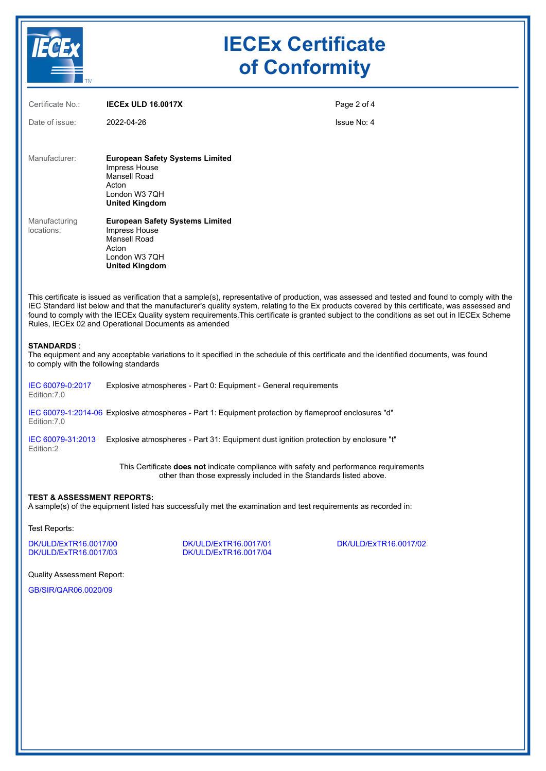

| Certificate No.:                                            | <b>IECEX ULD 16,0017X</b>                                                                                                                                                                                                                                                                                                                                                                                                                                                                                | Page 2 of 4 |
|-------------------------------------------------------------|----------------------------------------------------------------------------------------------------------------------------------------------------------------------------------------------------------------------------------------------------------------------------------------------------------------------------------------------------------------------------------------------------------------------------------------------------------------------------------------------------------|-------------|
| Date of issue:                                              | 2022-04-26                                                                                                                                                                                                                                                                                                                                                                                                                                                                                               | Issue No: 4 |
|                                                             |                                                                                                                                                                                                                                                                                                                                                                                                                                                                                                          |             |
| Manufacturer:                                               | <b>European Safety Systems Limited</b><br>Impress House                                                                                                                                                                                                                                                                                                                                                                                                                                                  |             |
|                                                             | Mansell Road<br>Acton                                                                                                                                                                                                                                                                                                                                                                                                                                                                                    |             |
|                                                             | London W3 7QH                                                                                                                                                                                                                                                                                                                                                                                                                                                                                            |             |
|                                                             | <b>United Kingdom</b>                                                                                                                                                                                                                                                                                                                                                                                                                                                                                    |             |
| Manufacturing<br>locations:                                 | <b>European Safety Systems Limited</b><br>Impress House                                                                                                                                                                                                                                                                                                                                                                                                                                                  |             |
|                                                             | Mansell Road<br>Acton                                                                                                                                                                                                                                                                                                                                                                                                                                                                                    |             |
|                                                             | London W3 7QH                                                                                                                                                                                                                                                                                                                                                                                                                                                                                            |             |
|                                                             | <b>United Kingdom</b>                                                                                                                                                                                                                                                                                                                                                                                                                                                                                    |             |
|                                                             | This certificate is issued as verification that a sample(s), representative of production, was assessed and tested and found to comply with the<br>IEC Standard list below and that the manufacturer's quality system, relating to the Ex products covered by this certificate, was assessed and<br>found to comply with the IECEx Quality system requirements. This certificate is granted subject to the conditions as set out in IECEx Scheme<br>Rules, IECEx 02 and Operational Documents as amended |             |
| <b>STANDARDS:</b><br>to comply with the following standards | The equipment and any acceptable variations to it specified in the schedule of this certificate and the identified documents, was found                                                                                                                                                                                                                                                                                                                                                                  |             |
| IEC 60079-0:2017<br>Edition: 7.0                            | Explosive atmospheres - Part 0: Equipment - General requirements                                                                                                                                                                                                                                                                                                                                                                                                                                         |             |
| Edition: 7.0                                                | IEC 60079-1:2014-06 Explosive atmospheres - Part 1: Equipment protection by flameproof enclosures "d"                                                                                                                                                                                                                                                                                                                                                                                                    |             |
| IEC 60079-31:2013<br>Edition:2                              | Explosive atmospheres - Part 31: Equipment dust ignition protection by enclosure "t"                                                                                                                                                                                                                                                                                                                                                                                                                     |             |
|                                                             | This Certificate does not indicate compliance with safety and performance requirements<br>other than those expressly included in the Standards listed above.                                                                                                                                                                                                                                                                                                                                             |             |
| <b>TEST &amp; ASSESSMENT REPORTS:</b>                       |                                                                                                                                                                                                                                                                                                                                                                                                                                                                                                          |             |

A sample(s) of the equipment listed has successfully met the examination and test requirements as recorded in:

Test Reports:

[DK/ULD/ExTR16.0017/00](https://www.iecex-certs.com/#/deliverables/REPORT/13599/view) [DK/ULD/ExTR16.0017/01](https://www.iecex-certs.com/#/deliverables/REPORT/13600/view) [DK/ULD/ExTR16.0017/02](https://www.iecex-certs.com/#/deliverables/REPORT/68559/view)

[DK/ULD/ExTR16.0017/03](https://www.iecex-certs.com/#/deliverables/REPORT/74946/view) [DK/ULD/ExTR16.0017/04](https://www.iecex-certs.com/#/deliverables/REPORT/78876/view)

Quality Assessment Report:

[GB/SIR/QAR06.0020/09](https://www.iecex-certs.com/#/deliverables/REPORT/70577/view)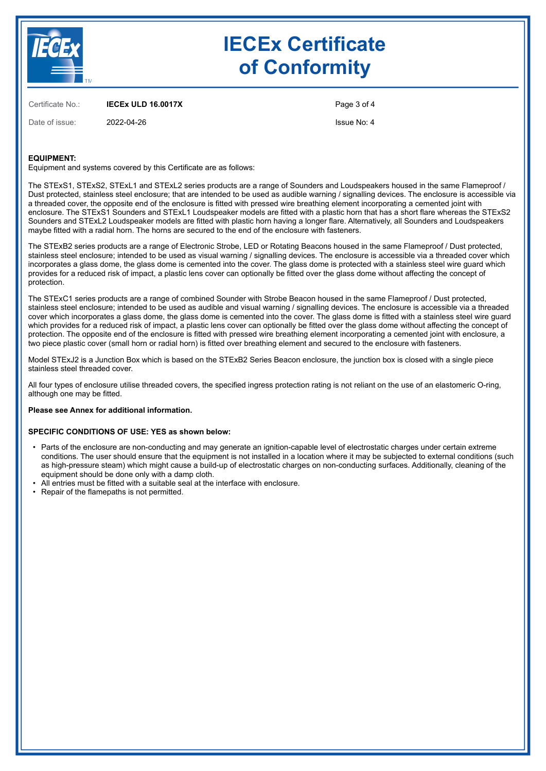

Certificate No.: **IECEx ULD 16.0017X**

Date of issue: 2022-04-26

Page 3 of 4

Issue No: 4

#### **EQUIPMENT:**

Equipment and systems covered by this Certificate are as follows:

The STExS1, STExS2, STExL1 and STExL2 series products are a range of Sounders and Loudspeakers housed in the same Flameproof / Dust protected, stainless steel enclosure; that are intended to be used as audible warning / signalling devices. The enclosure is accessible via a threaded cover, the opposite end of the enclosure is fitted with pressed wire breathing element incorporating a cemented joint with enclosure. The STExS1 Sounders and STExL1 Loudspeaker models are fitted with a plastic horn that has a short flare whereas the STExS2 Sounders and STExL2 Loudspeaker models are fitted with plastic horn having a longer flare. Alternatively, all Sounders and Loudspeakers maybe fitted with a radial horn. The horns are secured to the end of the enclosure with fasteners.

The STExB2 series products are a range of Electronic Strobe, LED or Rotating Beacons housed in the same Flameproof / Dust protected, stainless steel enclosure; intended to be used as visual warning / signalling devices. The enclosure is accessible via a threaded cover which incorporates a glass dome, the glass dome is cemented into the cover. The glass dome is protected with a stainless steel wire guard which provides for a reduced risk of impact, a plastic lens cover can optionally be fitted over the glass dome without affecting the concept of protection.

The STExC1 series products are a range of combined Sounder with Strobe Beacon housed in the same Flameproof / Dust protected, stainless steel enclosure; intended to be used as audible and visual warning / signalling devices. The enclosure is accessible via a threaded cover which incorporates a glass dome, the glass dome is cemented into the cover. The glass dome is fitted with a stainless steel wire guard which provides for a reduced risk of impact, a plastic lens cover can optionally be fitted over the glass dome without affecting the concept of protection. The opposite end of the enclosure is fitted with pressed wire breathing element incorporating a cemented joint with enclosure, a two piece plastic cover (small horn or radial horn) is fitted over breathing element and secured to the enclosure with fasteners.

Model STExJ2 is a Junction Box which is based on the STExB2 Series Beacon enclosure, the junction box is closed with a single piece stainless steel threaded cover.

All four types of enclosure utilise threaded covers, the specified ingress protection rating is not reliant on the use of an elastomeric O-ring, although one may be fitted.

#### **Please see Annex for additional information.**

#### **SPECIFIC CONDITIONS OF USE: YES as shown below:**

- Parts of the enclosure are non-conducting and may generate an ignition-capable level of electrostatic charges under certain extreme conditions. The user should ensure that the equipment is not installed in a location where it may be subjected to external conditions (such as high-pressure steam) which might cause a build-up of electrostatic charges on non-conducting surfaces. Additionally, cleaning of the equipment should be done only with a damp cloth.
- All entries must be fitted with a suitable seal at the interface with enclosure.
- Repair of the flamepaths is not permitted.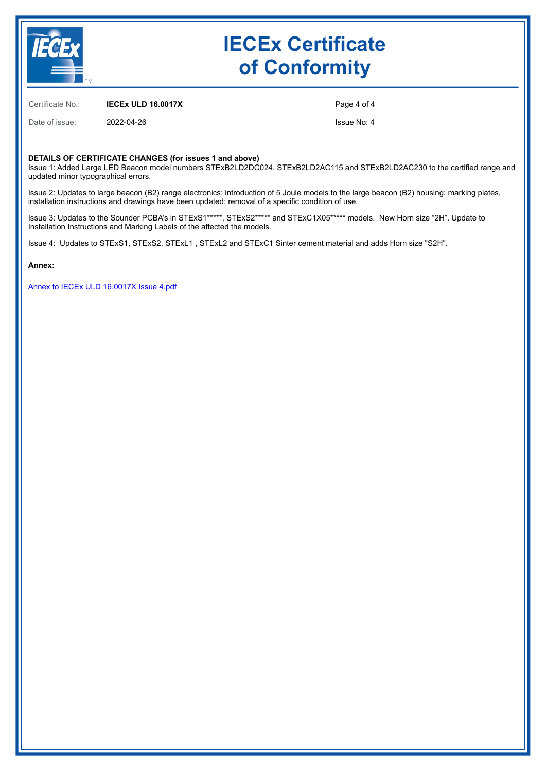

Certificate No.: **IECEx ULD 16.0017X**

Date of issue: 2022-04-26

Page 4 of 4

Issue No: 4

#### **DETAILS OF CERTIFICATE CHANGES (for issues 1 and above)**

Issue 1: Added Large LED Beacon model numbers STExB2LD2DC024, STExB2LD2AC115 and STExB2LD2AC230 to the certified range and updated minor typographical errors.

Issue 2: Updates to large beacon (B2) range electronics; introduction of 5 Joule models to the large beacon (B2) housing; marking plates, installation instructions and drawings have been updated; removal of a specific condition of use.

Issue 3: Updates to the Sounder PCBA's in STExS1\*\*\*\*\*, STExS2\*\*\*\*\* and STExC1X05\*\*\*\*\* models. New Horn size "2H". Update to Installation Instructions and Marking Labels of the affected the models.

Issue 4: Updates to STExS1, STExS2, STExL1 , STExL2 and STExC1 Sinter cement material and adds Horn size "S2H".

**Annex:**

[Annex to IECEx ULD 16.0017X Issue 4.pdf](https://www.iecex-certs.com/#/deliverables/CERT/57720/view)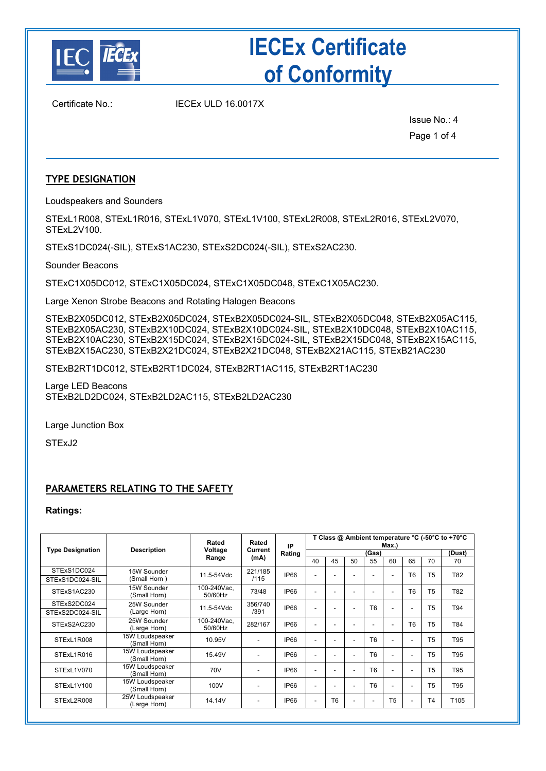

Certificate No.: IECEx ULD 16.0017X

Issue No.: 4 Page 1 of 4

### **TYPE DESIGNATION**

Loudspeakers and Sounders

STExL1R008, STExL1R016, STExL1V070, STExL1V100, STExL2R008, STExL2R016, STExL2V070, STExL2V100.

STExS1DC024(-SIL), STExS1AC230, STExS2DC024(-SIL), STExS2AC230.

Sounder Beacons

STExC1X05DC012, STExC1X05DC024, STExC1X05DC048, STExC1X05AC230.

Large Xenon Strobe Beacons and Rotating Halogen Beacons

STExB2X05DC012, STExB2X05DC024, STExB2X05DC024-SIL, STExB2X05DC048, STExB2X05AC115, STExB2X05AC230, STExB2X10DC024, STExB2X10DC024-SIL, STExB2X10DC048, STExB2X10AC115, STExB2X10AC230, STExB2X15DC024, STExB2X15DC024-SIL, STExB2X15DC048, STExB2X15AC115, STExB2X15AC230, STExB2X21DC024, STExB2X21DC048, STExB2X21AC115, STExB21AC230

STExB2RT1DC012, STExB2RT1DC024, STExB2RT1AC115, STExB2RT1AC230

Large LED Beacons STExB2LD2DC024, STExB2LD2AC115, STExB2LD2AC230

Large Junction Box

STExJ2

### **PARAMETERS RELATING TO THE SAFETY**

**Ratings:**

|                         |                                 | Rated<br>Rated         |                                       | IP                |                          |                |                          |                | Max.)                    |                |                | T Class @ Ambient temperature °C (-50°C to +70°C |  |                |     |
|-------------------------|---------------------------------|------------------------|---------------------------------------|-------------------|--------------------------|----------------|--------------------------|----------------|--------------------------|----------------|----------------|--------------------------------------------------|--|----------------|-----|
| <b>Type Designation</b> | <b>Description</b>              | Voltage                |                                       | Current<br>Rating |                          |                |                          | (Gas)          |                          |                |                | (Dust)                                           |  |                |     |
|                         |                                 | Range                  | (mA)                                  |                   | 40                       | 45             | 50                       | 55             | 60                       | 65             | 70             | 70                                               |  |                |     |
| STExS1DC024             | 15W Sounder                     | 11.5-54Vdc             | 221/185<br>IP66<br>/115               |                   |                          |                |                          |                |                          |                | T <sub>5</sub> |                                                  |  |                |     |
| STExS1DC024-SIL         | (Small Horn)                    |                        |                                       |                   |                          |                | ۰                        |                | $\overline{\phantom{a}}$ | T <sub>6</sub> |                | T82                                              |  |                |     |
| STExS1AC230             | 15W Sounder<br>(Small Horn)     | 100-240Vac.<br>50/60Hz | 73/48                                 | IP66              |                          |                | ۰                        |                | $\blacksquare$           | T <sub>6</sub> | T <sub>5</sub> | T82                                              |  |                |     |
| STExS2DC024             | 25W Sounder                     |                        | 356/740<br>IP66<br>11.5-54Vdc<br>/391 |                   |                          |                |                          |                |                          | ۰              | T <sub>6</sub> |                                                  |  | T <sub>5</sub> | T94 |
| STExS2DC024-SIL         | (Large Horn)                    |                        |                                       |                   |                          |                |                          |                | ٠                        |                |                |                                                  |  |                |     |
| STExS2AC230             | 25W Sounder<br>(Large Horn)     | 100-240Vac,<br>50/60Hz | 282/167                               | IP66              |                          |                |                          |                | ٠                        | T <sub>6</sub> | T <sub>5</sub> | T84                                              |  |                |     |
| STExL1R008              | 15W Loudspeaker<br>(Small Horn) | 10.95V                 | ٠                                     | IP66              |                          |                | ٠                        | T <sub>6</sub> | ٠                        |                | T <sub>5</sub> | T95                                              |  |                |     |
| STExL1R016              | 15W Loudspeaker<br>(Small Horn) | 15.49V                 | ٠                                     | IP66              |                          |                | ۰                        | T <sub>6</sub> | $\overline{\phantom{a}}$ |                | T <sub>5</sub> | T95                                              |  |                |     |
| STExL1V070              | 15W Loudspeaker<br>(Small Horn) | 70V                    | ٠                                     | IP66              | $\overline{\phantom{a}}$ |                | $\overline{\phantom{0}}$ | T <sub>6</sub> | $\overline{a}$           | ۰              | T <sub>5</sub> | T95                                              |  |                |     |
| STExL1V100              | 15W Loudspeaker<br>(Small Horn) | 100V                   | ۰                                     | IP66              |                          |                | ۰                        | T <sub>6</sub> | $\overline{\phantom{a}}$ |                | T <sub>5</sub> | T95                                              |  |                |     |
| STExL2R008              | 25W Loudspeaker<br>(Large Horn) | 14.14V                 | ٠                                     | IP66              | $\blacksquare$           | T <sub>6</sub> | -                        |                | T <sub>5</sub>           |                | T4             | T105                                             |  |                |     |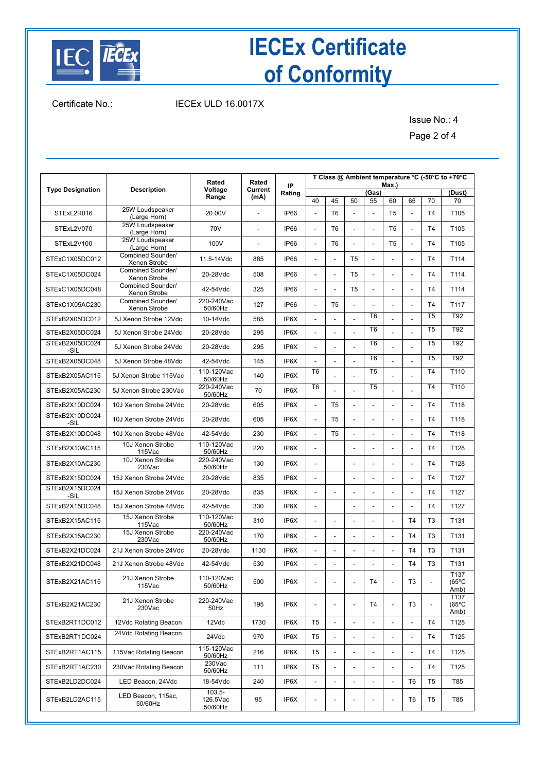

### Certificate No.: IECEx ULD 16.0017X

Issue No.: 4

Page 2 of 4

|                         |                                   | Rated                            | Rated                    | IP     |                          |                          |                          |                          | Max.)                    |                          |                          | T Class @ Ambient temperature °C (-50°C to +70°C |
|-------------------------|-----------------------------------|----------------------------------|--------------------------|--------|--------------------------|--------------------------|--------------------------|--------------------------|--------------------------|--------------------------|--------------------------|--------------------------------------------------|
| <b>Type Designation</b> | <b>Description</b>                | Voltage                          | Current                  | Rating |                          |                          |                          | (Gas)                    |                          |                          |                          | (Dust)                                           |
|                         |                                   | Range                            | (mA)                     |        | 40                       | 45                       | 50                       | 55                       | 60                       | 65                       | 70                       | 70                                               |
| STExL2R016              | 25W Loudspeaker<br>(Large Horn)   | 20.00V                           | $\overline{\phantom{a}}$ | IP66   | $\blacksquare$           | T <sub>6</sub>           | $\overline{\phantom{a}}$ | $\frac{1}{2}$            | T <sub>5</sub>           | ÷,                       | T <sub>4</sub>           | T105                                             |
| STExL2V070              | 25W Loudspeaker<br>(Large Horn)   | 70V                              |                          | IP66   | ä,                       | T <sub>6</sub>           | $\overline{a}$           | $\overline{a}$           | T5                       | $\overline{a}$           | T <sub>4</sub>           | T <sub>105</sub>                                 |
| STExL2V100              | 25W Loudspeaker<br>(Large Horn)   | 100V                             | $\overline{a}$           | IP66   | $\blacksquare$           | T <sub>6</sub>           |                          | $\overline{a}$           | T <sub>5</sub>           |                          | T <sub>4</sub>           | T <sub>105</sub>                                 |
| STExC1X05DC012          | Combined Sounder/<br>Xenon Strobe | 11.5-14Vdc                       | 885                      | IP66   | ÷,                       |                          | T <sub>5</sub>           |                          |                          |                          | T <sub>4</sub>           | T114                                             |
| STExC1X05DC024          | Combined Sounder/<br>Xenon Strobe | 20-28Vdc                         | 508                      | IP66   | $\overline{\phantom{a}}$ | $\blacksquare$           | T <sub>5</sub>           | $\overline{\phantom{0}}$ | $\overline{\phantom{a}}$ | $\overline{a}$           | T <sub>4</sub>           | T114                                             |
| STExC1X05DC048          | Combined Sounder/<br>Xenon Strobe | 42-54Vdc                         | 325                      | IP66   | $\blacksquare$           | $\overline{a}$           | T <sub>5</sub>           | $\overline{\phantom{0}}$ | $\overline{a}$           |                          | T <sub>4</sub>           | T114                                             |
| STExC1X05AC230          | Combined Sounder/<br>Xenon Strobe | 220-240Vac<br>50/60Hz            | 127                      | IP66   | $\overline{\phantom{a}}$ | T <sub>5</sub>           |                          | $\overline{a}$           |                          |                          | T <sub>4</sub>           | T117                                             |
| STExB2X05DC012          | 5J Xenon Strobe 12Vdc             | 10-14Vdc                         | 585                      | IP6X   | ÷,                       |                          |                          | T <sub>6</sub>           |                          |                          | T <sub>5</sub>           | T92                                              |
| STExB2X05DC024          | 5J Xenon Strobe 24Vdc             | 20-28Vdc                         | 295                      | IP6X   | $\blacksquare$           |                          |                          | T <sub>6</sub>           |                          |                          | T <sub>5</sub>           | T92                                              |
| STExB2X05DC024<br>-SIL  | 5J Xenon Strobe 24Vdc             | 20-28Vdc                         | 295                      | IP6X   | ÷,                       |                          |                          | T <sub>6</sub>           |                          |                          | T <sub>5</sub>           | T92                                              |
| STExB2X05DC048          | 5J Xenon Strobe 48Vdc             | 42-54Vdc                         | 145                      | IP6X   | ÷,                       |                          |                          | T <sub>6</sub>           |                          |                          | T <sub>5</sub>           | T92                                              |
| STExB2X05AC115          | 5J Xenon Strobe 115Vac            | 110-120Vac<br>50/60Hz            | 140                      | IP6X   | T <sub>6</sub>           |                          |                          | T <sub>5</sub>           |                          |                          | T <sub>4</sub>           | T110                                             |
| STExB2X05AC230          | 5J Xenon Strobe 230Vac            | 220-240Vac<br>50/60Hz            | 70                       | IP6X   | T6                       |                          |                          | T <sub>5</sub>           |                          |                          | T <sub>4</sub>           | T110                                             |
| STExB2X10DC024          | 10J Xenon Strobe 24Vdc            | 20-28Vdc                         | 605                      | IP6X   | $\blacksquare$           | T <sub>5</sub>           |                          |                          | $\overline{a}$           |                          | T <sub>4</sub>           | T118                                             |
| STExB2X10DC024<br>-SIL  | 10J Xenon Strobe 24Vdc            | 20-28Vdc                         | 605                      | IP6X   | $\overline{\phantom{a}}$ | T <sub>5</sub>           |                          |                          |                          |                          | T <sub>4</sub>           | T118                                             |
| STExB2X10DC048          | 10J Xenon Strobe 48Vdc            | 42-54Vdc                         | 230                      | IP6X   | $\blacksquare$           | T <sub>5</sub>           |                          | $\overline{a}$           |                          |                          | T <sub>4</sub>           | T118                                             |
| STExB2X10AC115          | 10J Xenon Strobe<br>115Vac        | 110-120Vac<br>50/60Hz            | 220                      | IP6X   | $\blacksquare$           |                          |                          | $\overline{a}$           |                          |                          | T <sub>4</sub>           | T128                                             |
| STExB2X10AC230          | 10J Xenon Strobe<br>230Vac        | 220-240Vac<br>50/60Hz            | 130                      | IP6X   | $\overline{\phantom{a}}$ |                          |                          |                          |                          |                          | T <sub>4</sub>           | T128                                             |
| STExB2X15DC024          | 15J Xenon Strobe 24Vdc            | 20-28Vdc                         | 835                      | IP6X   | $\overline{\phantom{a}}$ |                          |                          |                          |                          |                          | T <sub>4</sub>           | T <sub>127</sub>                                 |
| STExB2X15DC024<br>-SIL  | 15J Xenon Strobe 24Vdc            | 20-28Vdc                         | 835                      | IP6X   | $\blacksquare$           | $\overline{\phantom{a}}$ |                          | ÷,                       |                          |                          | T <sub>4</sub>           | T <sub>127</sub>                                 |
| STExB2X15DC048          | 15J Xenon Strobe 48Vdc            | 42-54Vdc                         | 330                      | IP6X   | ä,                       |                          |                          |                          |                          |                          | T <sub>4</sub>           | T <sub>127</sub>                                 |
| STExB2X15AC115          | 15J Xenon Strobe<br>115Vac        | 110-120Vac<br>50/60Hz            | 310                      | IP6X   | $\blacksquare$           | $\overline{a}$           | $\overline{a}$           | $\overline{a}$           | $\overline{a}$           | T <sub>4</sub>           | T <sub>3</sub>           | T <sub>131</sub>                                 |
| STExB2X15AC230          | 15J Xenon Strobe<br>230Vac        | 220-240Vac<br>50/60Hz            | 170                      | IP6X   | $\blacksquare$           |                          |                          | $\overline{a}$           | $\overline{a}$           | T <sub>4</sub>           | T <sub>3</sub>           | T <sub>131</sub>                                 |
| STExB2X21DC024          | 21J Xenon Strobe 24Vdc            | 20-28Vdc                         | 1130                     | IP6X   |                          |                          |                          |                          |                          | T <sub>4</sub>           | T <sub>3</sub>           | T <sub>131</sub>                                 |
| STExB2X21DC048          | 21J Xenon Strobe 48Vdc            | 42-54Vdc                         | 530                      | IP6X   | $\blacksquare$           | $\overline{a}$           | $\blacksquare$           | $\overline{\phantom{a}}$ |                          | T <sub>4</sub>           | T <sub>3</sub>           | T <sub>131</sub>                                 |
| STExB2X21AC115          | 21J Xenon Strobe<br>115Vac        | 110-120Vac<br>50/60Hz            | 500                      | IP6X   | $\overline{\phantom{a}}$ | $\overline{\phantom{a}}$ | $\overline{\phantom{a}}$ | T4                       | $\frac{1}{2}$            | T <sub>3</sub>           |                          | T137<br>$(65^{\circ}C)$<br>Amb)                  |
| STExB2X21AC230          | 21J Xenon Strobe<br>230Vac        | 220-240Vac<br>50Hz               | 195                      | IP6X   | $\overline{\phantom{a}}$ |                          | $\overline{\phantom{a}}$ | Τ4                       | $\frac{1}{2}$            | T3                       | $\overline{\phantom{a}}$ | T137<br>$(65^{\circ}C)$<br>Amb)                  |
| STExB2RT1DC012          | 12Vdc Rotating Beacon             | 12Vdc                            | 1730                     | IP6X   | T <sub>5</sub>           | $\overline{\phantom{a}}$ |                          |                          |                          |                          | T4                       | T125                                             |
| STExB2RT1DC024          | 24Vdc Rotating Beacon             | 24Vdc                            | 970                      | IP6X   | T <sub>5</sub>           | $\overline{\phantom{a}}$ |                          |                          | $\overline{\phantom{a}}$ | $\overline{a}$           | T4                       | T125                                             |
| STExB2RT1AC115          | 115Vac Rotating Beacon            | 115-120Vac<br>50/60Hz            | 216                      | IP6X   | T5                       | $\overline{\phantom{a}}$ | $\overline{\phantom{a}}$ | $\overline{a}$           | $\overline{\phantom{a}}$ | $\overline{\phantom{a}}$ | T4                       | T <sub>125</sub>                                 |
| STExB2RT1AC230          | 230Vac Rotating Beacon            | $230$ Vac<br>50/60Hz             | 111                      | IP6X   | T5                       | $\overline{\phantom{a}}$ |                          | $\overline{a}$           |                          |                          | T <sub>4</sub>           | T125                                             |
| STExB2LD2DC024          | LED Beacon, 24Vdc                 | 18-54Vdc                         | 240                      | IP6X   | $\blacksquare$           | $\blacksquare$           | $\overline{\phantom{a}}$ | $\overline{a}$           | $\blacksquare$           | T6                       | T5                       | T85                                              |
| STExB2LD2AC115          | LED Beacon, 115ac,<br>50/60Hz     | $103.5 -$<br>126.5Vac<br>50/60Hz | 95                       | IP6X   | $\overline{\phantom{a}}$ | ٠                        |                          |                          | $\overline{\phantom{a}}$ | T6                       | T5                       | T85                                              |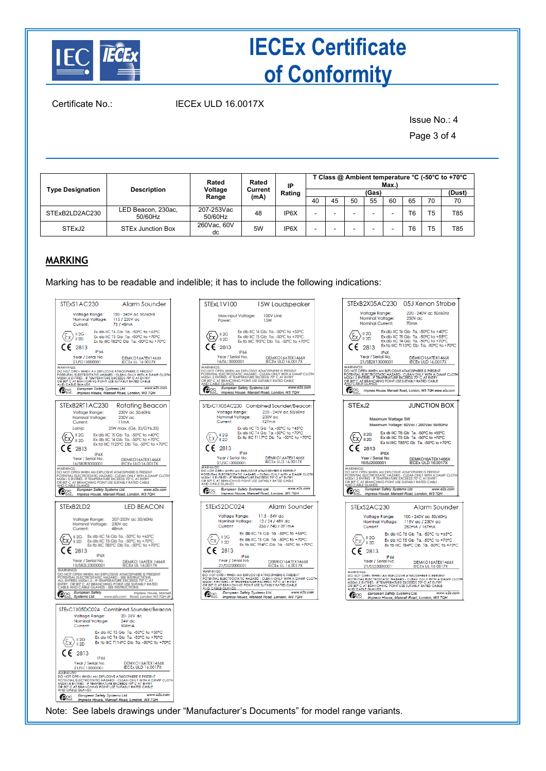

Certificate No.: IECEx ULD 16.0017X

Issue No.: 4

Page 3 of 4

|                         |                               | Rated                 | Rated                     | IP                |  |    |       |    | Max.) |                |        | T Class @ Ambient temperature °C (-50°C to +70°C |
|-------------------------|-------------------------------|-----------------------|---------------------------|-------------------|--|----|-------|----|-------|----------------|--------|--------------------------------------------------|
| <b>Type Designation</b> | <b>Description</b>            | Voltage               | Current<br>Rating<br>(mA) |                   |  |    | (Gas) |    |       |                | (Dust) |                                                  |
|                         |                               | Range                 |                           |                   |  | 40 | 45    | 50 | 55    | 60             | 65     | 70                                               |
| STExB2LD2AC230          | LED Beacon, 230ac,<br>50/60Hz | 207-253Vac<br>50/60Hz | 48                        | IP <sub>6</sub> X |  | -  |       |    |       | T <sub>6</sub> | T5     | T85                                              |
| STExJ2                  | <b>STEx Junction Box</b>      | 260Vac. 60V<br>dc     | 5W                        | IP6X              |  | -  |       |    |       | T <sub>6</sub> | T5     | T85                                              |

### **MARKING**

Marking has to be readable and indelible; it has to include the following indications:

|                                     | STExS1AC230                                                      |                              | <b>Alarm Sounder</b>                                                                                                                                                                                                                                                                                                                                  |                                                   |
|-------------------------------------|------------------------------------------------------------------|------------------------------|-------------------------------------------------------------------------------------------------------------------------------------------------------------------------------------------------------------------------------------------------------------------------------------------------------------------------------------------------------|---------------------------------------------------|
|                                     | Voltage Range:<br>Nominal Voltage:<br>Current:                   |                              | 100 - 240V ac 50/60Hz<br>115 / 230V ac<br>73 / 48mA                                                                                                                                                                                                                                                                                                   |                                                   |
| ξx,                                 | II2G<br>II 2D                                                    |                              | Ex db IIC T6 Gb Ta. -50°C to +65°C<br>Ex db IIC T5 Gb Ta. -50°C to +70°C<br>Ex tb IIIC T82°C Db Ta. -50°C to +70°C                                                                                                                                                                                                                                    |                                                   |
|                                     | 2813                                                             | IP 66                        |                                                                                                                                                                                                                                                                                                                                                       |                                                   |
| <b>WARNINGS:</b>                    | Year / Serial No.<br>21/SS13000001                               |                              | DEMKO16ATEX1466X<br><b>IECEx UL 16.0017X</b>                                                                                                                                                                                                                                                                                                          |                                                   |
|                                     |                                                                  |                              | DO NOT OPEN WHEN AN EXPLOSIVE ATMOSPHERE IS PRESENT<br>POTENTIAL ELECTROSTATIC HAZARD - CLEAN ONLY WITH A DAMP CLOTH<br>M20X1.5 ENTRIES - IF TEMPERATURE EXCEEDS 70° C AT ENTRY<br>M20 CABLE GLANDING POINT USE SUITABLY RATED CABLE<br>AN                                                                                                            | www.e2s.com                                       |
| (22S                                |                                                                  | European Safety Systems Ltd. | Impress House, Mansell Road, London, W3 7QH                                                                                                                                                                                                                                                                                                           |                                                   |
|                                     | STExB2RT1AC230<br>Voltage Range:<br>Nominal Voltage:<br>Current: |                              | <b>Rotating Beacon</b><br>230V ac 50/60Hz<br>230V ac<br>11 <sub>m</sub> A                                                                                                                                                                                                                                                                             |                                                   |
|                                     | Lamp:<br>12G<br><b>12D</b><br>2813                               | IP6X                         | 25W max. (G6, 35/GY6,35)<br>Ex db IIC T5 Gb Ta. -50°C to +40°C<br>Ex db IIC T4 Gb Ta. -50°C to +70°C<br>Ex td IIIC T125°C Db Ta. -50°C to +70°C                                                                                                                                                                                                       |                                                   |
|                                     | Year / Serial No.<br>16/SB2R3000001                              |                              | DEMKO16ATEX1466X<br>IECEx ULD 16.0017X                                                                                                                                                                                                                                                                                                                |                                                   |
| <b>WARNINGS:</b><br>O <sub>2S</sub> |                                                                  |                              | DO NOT OPEN WHEN AN EXPLOSIVE ATMOSPHERE IS PRESENT<br><b>CONSTRUCTION OF CHARGE CLEAN ONLY WITH A DAMP CLOTH</b><br>CONSTRUCTION CONSTRUCTION CONSTRUCTION CONTROL OF A MANY CLOTH<br>ARRY 2-A MISSANT ENVIRONMENT CONSTRUCTION CARLE<br>COLORATE GUARDEN OF POINT USE SUITABLY RATED CABLE<br>COLORA<br>Impress House, Mansell Road, London, W3 7QH |                                                   |
|                                     | STExB2LD2                                                        |                              | <b>LED BEACON</b>                                                                                                                                                                                                                                                                                                                                     |                                                   |
|                                     | Voltage Range:<br>Nominal Voltage:<br>Current:                   | 48mA                         | 207-253V ac 50/60Hz<br>230V ac                                                                                                                                                                                                                                                                                                                        |                                                   |
|                                     | $\blacksquare$ 2G<br>12D<br>$\epsilon$ 2813                      | IP6X                         | Ex db IIC T6 Gb Ta. -50°C to +65°C<br>Ex db IIC T5 Gb Ta. -50°C to +70°C<br>Ex tb IIIC T85°C Db Ta. -50°C to +70°C                                                                                                                                                                                                                                    |                                                   |
|                                     | Year / Serial No.                                                |                              |                                                                                                                                                                                                                                                                                                                                                       |                                                   |
|                                     | 15/SB2L23000001                                                  |                              | DEMKO 16ATEX 1466X<br>IECEx UL 16.0017X                                                                                                                                                                                                                                                                                                               |                                                   |
| <b>WARNINGS</b>                     |                                                                  |                              | DO NOT OPEN WHEN AN EXPLOSIVE ATMOSPHERE IS PRESENT<br>POTENTIAL ELECTROSTATIC HAZARD - SEE INSTRUCTIONS<br>ALL ENTRIES M2001.5 - IF TEMPERATURE EXCEEDS 70° C. AT<br>ENTRY - OR 800 C. AT REAMTHING ROMA LIKE SUITABLY RATED<br>ENTRY OR 80°C AT BRANCHING POINT USE SUITABLY RATED<br>CABLE AND CABLE GLANDS - SEE INSTRUCTIONS                     |                                                   |
| O2S                                 | European Safety<br>Systems Ltd.                                  | www.e2s.com                  |                                                                                                                                                                                                                                                                                                                                                       |                                                   |
|                                     | STExC1X05DC024<br>Voltage Range:<br>Nominal Voltage:<br>Current: |                              | Combined Sounder/Beacon<br>20-28V dc<br>24V dc<br>508mA                                                                                                                                                                                                                                                                                               |                                                   |
|                                     | $\frac{112G}{112D}$<br>2813                                      |                              | Ex db IIC T5 Gb Ta. -50°C to +50°C<br>Ex db IIC T4 Gb Ta. -50°C to +70°C<br>Ex tb IIIC T114°C Db Ta. -50°C to +70°C                                                                                                                                                                                                                                   |                                                   |
|                                     | Year / Serial No.<br>21/SC12000001                               | <b>IP66</b>                  | DEMKO16ATEX1466X<br>IECEx ULD 16.0017X                                                                                                                                                                                                                                                                                                                |                                                   |
| <b>WARNINGS:</b>                    |                                                                  |                              | DO NOT OPEN WHEN AN EXPLOSIVE ATMOSPHERE IS PRESENT<br>DO TROT OPER WIRDER ARE CONSIDERED CLEAN ONLY WITH A DAMP CLOTH<br>POTENTIAL ELECTROSTATIC HAZARD - CLEAN ONLY WITH A DAMP CLOTH<br>M20X1.5 ENTRIES - IF TEMPERATURE EXCEEDS 70° C AT ENTRY<br>OR 80° C AT BRANCHING POINT USE SUITABLY                                                        | Impress, House, Mansell<br>Road, London W3 7QH UK |

| <b>15W Loudspeaker</b><br>STExL1V100                                                                                                                                                                                                                                                                                                  |
|---------------------------------------------------------------------------------------------------------------------------------------------------------------------------------------------------------------------------------------------------------------------------------------------------------------------------------------|
| Max Input Voltage:<br>100V Line<br><b>15W</b><br>Power:                                                                                                                                                                                                                                                                               |
| Ex db IIC T6 Gb Ta. - 50°C to +55°C<br>II 2G<br>Ex db IIC T5 Gb Ta. - 50°C to +70°C<br>II 2D<br>Ex tb IIIC T95°C Db Ta. - 50°C to +70°C<br>2813<br><b>IP66</b>                                                                                                                                                                        |
| Year / Serial No.<br>DEMKO16ATEX1466X<br>16/SL13000001<br><b>IECEX ULD 16.0017X</b>                                                                                                                                                                                                                                                   |
| <b>WARNINGS:</b><br>DO NOT OPEN WHEN AN EXPLOSIVE ATMOSPHERE IS PRESENT<br>POTENTIAL ELECTROSTATIC HAZARD - CLEAN ONLY WITH A DAMP CLOTH<br>M20x1.5 ENTRIES - IF TEMPERATURE EXCEEDS 70° C AT ENTRY<br>OR 80° C. AT BRANCHING POINT USE SUITABLY RATED CABLE<br>AND CABLE GLANDS<br>www.e2s.com<br>European Safety Systems Ltd.       |
| Impress House, Mansell Road, London, W3 7QH                                                                                                                                                                                                                                                                                           |
| STExC1X05AC230 Combined Sounder/Beacon<br>220 - 240V ac 50/60Hz<br>Voltage Range:<br>Nominal Voltage:<br>230V ac<br>Current:<br>127mA                                                                                                                                                                                                 |
| Ex db IIC T5 Gb Ta, -50°C to +45°C<br>Ex db IIC T4 Gb Ta. - 50°C to +70°C<br>II 2G<br>Ex tb IIIC T117°C Db Ta. -50°C to +70°C<br>čχ<br>II 2D                                                                                                                                                                                          |
| ٢F<br>2813<br><b>IP66</b>                                                                                                                                                                                                                                                                                                             |
| Year / Serial No.<br>DEMKO16ATEX1466X<br><b>IECEX ULD 16,0017X</b><br>21/SC13000001<br><b>WAPNINGS</b><br>DO NOT OPEN WHEN AN EXPLOSIVE ATMOSPHERE IS PRESENT                                                                                                                                                                         |
| POTENTIAL ELECTROSTATIC HAZARD - CLEAN ONLY WITH A DAMP CLOTH<br>M20X1.5 ENTRIES - IF TEMPERATURE EXCEEDS 70° C AT ENTRY<br>OR 80° C AT BRANCHING POINT USE SUITABLY RATED CABLE<br>AND CABLE GLANDS<br>www.e2s.com<br>European Safety Systems Ltd.<br>Impress House, Mansell Road, London, W3 7QH                                    |
|                                                                                                                                                                                                                                                                                                                                       |
| Alarm Sounder<br>STExS2DC024                                                                                                                                                                                                                                                                                                          |
| 11.5 - 54V dc<br>Voltage Range:<br>Nominal Voltage:<br>12/24/48V dc<br>356 / 740 / 391mA<br>Current:                                                                                                                                                                                                                                  |
| Ex db IIC T6 Gb Ta, -50°C to +55°C<br>II 2G<br>Ex db IIC T5 Gb Ta, -50°C to +70°C<br>II 2D<br>Ex tb IIIC T94°C Db Ta. -50°C to +70°C<br>2813                                                                                                                                                                                          |
| <b>IP66</b><br>Year / Serial No.<br>DEMKO16ATEX1466X<br>21/SS22000001<br><b>IECEX UL 16.0017X</b>                                                                                                                                                                                                                                     |
| <b>WARNINGS:</b><br>DO NOT OPEN WHEN AN EXPLOSIVE ATMOSPHERE IS PRESENT<br>POTENTIAL ELECTROSTATIC HAZARD - CLEAN ONLY WITH A DAMP CLOTH<br>M20x1.5 ENTRIES - IF TEMPERATURE EXCEEDS 70° C AT ENTRY<br>OR 80° C AT BRANCHING POINT USE SUITABLY RATED CABLE<br><b>IND CABLE GLANDS</b><br>www.e2s.com<br>European Safety Systems Ltd. |
| 2S<br>Impress House, Mansell Road, London, W3 7QH                                                                                                                                                                                                                                                                                     |



Note: See labels drawings under "Manufacturer's Documents" for model range variants.